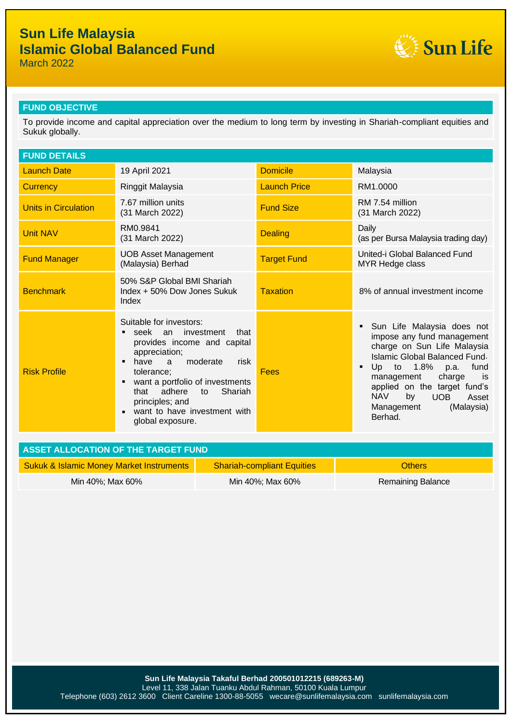

March 2022

### **FUND OBJECTIVE**

To provide income and capital appreciation over the medium to long term by investing in Shariah-compliant equities and Sukuk globally.

| <b>FUND DETAILS</b>         |                                                                                                                                                                                                                                                                                                                            |                     |                                                                                                                                                                                                                                                                                                                |
|-----------------------------|----------------------------------------------------------------------------------------------------------------------------------------------------------------------------------------------------------------------------------------------------------------------------------------------------------------------------|---------------------|----------------------------------------------------------------------------------------------------------------------------------------------------------------------------------------------------------------------------------------------------------------------------------------------------------------|
| <b>Launch Date</b>          | 19 April 2021                                                                                                                                                                                                                                                                                                              | <b>Domicile</b>     | Malaysia                                                                                                                                                                                                                                                                                                       |
| <b>Currency</b>             | Ringgit Malaysia                                                                                                                                                                                                                                                                                                           | <b>Launch Price</b> | RM1.0000                                                                                                                                                                                                                                                                                                       |
| <b>Units in Circulation</b> | 7.67 million units<br>(31 March 2022)                                                                                                                                                                                                                                                                                      | <b>Fund Size</b>    | RM 7.54 million<br>(31 March 2022)                                                                                                                                                                                                                                                                             |
| <b>Unit NAV</b>             | RM0.9841<br>(31 March 2022)                                                                                                                                                                                                                                                                                                | <b>Dealing</b>      | Daily<br>(as per Bursa Malaysia trading day)                                                                                                                                                                                                                                                                   |
| <b>Fund Manager</b>         | <b>UOB Asset Management</b><br>(Malaysia) Berhad                                                                                                                                                                                                                                                                           | <b>Target Fund</b>  | United-i Global Balanced Fund<br><b>MYR Hedge class</b>                                                                                                                                                                                                                                                        |
| <b>Benchmark</b>            | 50% S&P Global BMI Shariah<br>Index + 50% Dow Jones Sukuk<br>Index                                                                                                                                                                                                                                                         | <b>Taxation</b>     | 8% of annual investment income                                                                                                                                                                                                                                                                                 |
| <b>Risk Profile</b>         | Suitable for investors:<br>seek an investment<br>that<br>provides income and capital<br>appreciation;<br>moderate<br>have a<br>risk<br>$\blacksquare$<br>tolerance;<br>want a portfolio of investments<br>Е<br>adhere<br>Shariah<br>that<br>to<br>principles; and<br>want to have investment with<br>п<br>global exposure. | <b>Fees</b>         | Sun Life Malaysia does not<br>impose any fund management<br>charge on Sun Life Malaysia<br>Islamic Global Balanced Fund.<br>Up to $1.8\%$<br>fund<br>p.a.<br>٠<br>charge<br>management<br>is<br>applied on the target fund's<br><b>NAV</b><br>by<br><b>UOB</b><br>Asset<br>Management<br>(Malaysia)<br>Berhad. |

| ASSET ALLOCATION OF THE TARGET FUND                 |                                   |                   |  |  |
|-----------------------------------------------------|-----------------------------------|-------------------|--|--|
| <b>Sukuk &amp; Islamic Money Market Instruments</b> | <b>Shariah-compliant Equities</b> | <b>Others</b>     |  |  |
| Min 40%; Max 60%                                    | Min 40%; Max 60%                  | Remaining Balance |  |  |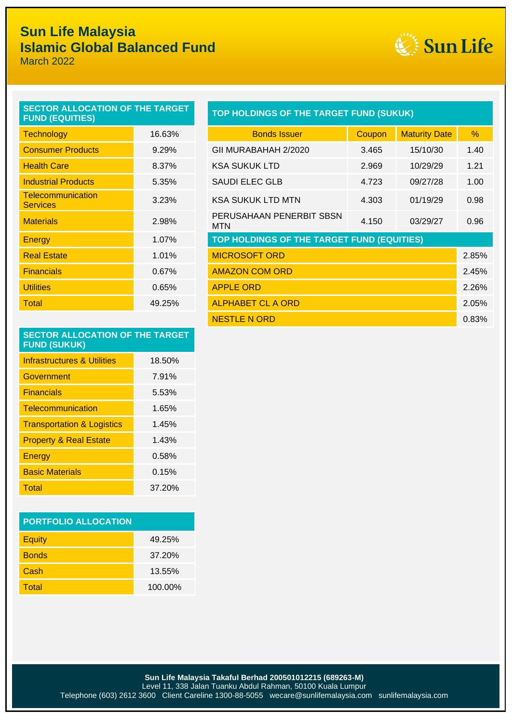

March 2022

| <b>SECTOR ALLOCATION OF THE TARGET</b><br><b>FUND (EQUITIES)</b> | <b>TOP HOLDINGS OF THE TARGET</b> |                                        |
|------------------------------------------------------------------|-----------------------------------|----------------------------------------|
| <b>Technology</b>                                                | 16.63%                            | <b>Bonds Issuer</b>                    |
| <b>Consumer Products</b>                                         | 9.29%                             | GII MURABAHAH 2/2020                   |
| <b>Health Care</b>                                               | 8.37%                             | <b>KSA SUKUK LTD</b>                   |
| <b>Industrial Products</b>                                       | 5.35%                             | <b>SAUDI ELEC GLB</b>                  |
| <b>Telecommunication</b><br><b>Services</b>                      | 3.23%                             | <b>KSA SUKUK LTD MTN</b>               |
| <b>Materials</b>                                                 | 2.98%                             | PERUSAHAAN PENERBIT SBSN<br><b>MTN</b> |
| Energy                                                           | 1.07%                             | <b>TOP HOLDINGS OF THE TARGET</b>      |
| <b>Real Estate</b>                                               | 1.01%                             | <b>MICROSOFT ORD</b>                   |
| <b>Financials</b>                                                | 0.67%                             | <b>AMAZON COM ORD</b>                  |
| <b>Utilities</b>                                                 | 0.65%                             | <b>APPLE ORD</b>                       |
| Total                                                            | 49.25%                            | <b>ALPHABET CL A ORD</b>               |
|                                                                  |                                   |                                        |

### **FURD** HOLDINGS OF THE TARGET FUND (SUKUK)

| <b>Technology</b>                           | 16.63% | <b>Bonds Issuer</b>                        | Coupon | <b>Maturity Date</b> | $\%$  |
|---------------------------------------------|--------|--------------------------------------------|--------|----------------------|-------|
| <b>Consumer Products</b>                    | 9.29%  | GII MURABAHAH 2/2020                       | 3.465  | 15/10/30             | 1.40  |
| <b>Health Care</b>                          | 8.37%  | <b>KSA SUKUK LTD</b>                       | 2.969  | 10/29/29             | 1.21  |
| <b>Industrial Products</b>                  | 5.35%  | <b>SAUDI ELEC GLB</b>                      | 4.723  | 09/27/28             | 1.00  |
| <b>Telecommunication</b><br><b>Services</b> | 3.23%  | <b>KSA SUKUK LTD MTN</b>                   | 4.303  | 01/19/29             | 0.98  |
| <b>Materials</b>                            | 2.98%  | PERUSAHAAN PENERBIT SBSN<br>MTN            | 4.150  | 03/29/27             | 0.96  |
| Energy                                      | 1.07%  | TOP HOLDINGS OF THE TARGET FUND (EQUITIES) |        |                      |       |
| <b>Real Estate</b>                          | 1.01%  | <b>MICROSOFT ORD</b>                       |        |                      | 2.85% |
| <b>Financials</b>                           | 0.67%  | <b>AMAZON COM ORD</b>                      |        |                      | 2.45% |
| <b>Utilities</b>                            | 0.65%  | <b>APPLE ORD</b>                           |        |                      | 2.26% |
| Total                                       | 49.25% | <b>ALPHABET CL A ORD</b>                   |        |                      | 2.05% |
|                                             |        | <b>NESTLE N ORD</b>                        |        |                      | 0.83% |

### **SECTOR ALLOCATION OF THE TARGET FUND (SUKUK)**

| Infrastructures & Utilities           | 18.50% |
|---------------------------------------|--------|
| Government                            | 7.91%  |
| <b>Financials</b>                     | 5.53%  |
| Telecommunication                     | 1.65%  |
| <b>Transportation &amp; Logistics</b> | 1.45%  |
| <b>Property &amp; Real Estate</b>     | 1.43%  |
| Energy                                | 0.58%  |
| <b>Basic Materials</b>                | 0.15%  |
| Total                                 | 37.20% |

| <b>PORTFOLIO ALLOCATION</b> |         |  |  |
|-----------------------------|---------|--|--|
| <b>Equity</b>               | 49.25%  |  |  |
| <b>Bonds</b>                | 37.20%  |  |  |
| Cash                        | 13.55%  |  |  |
| Total                       | 100.00% |  |  |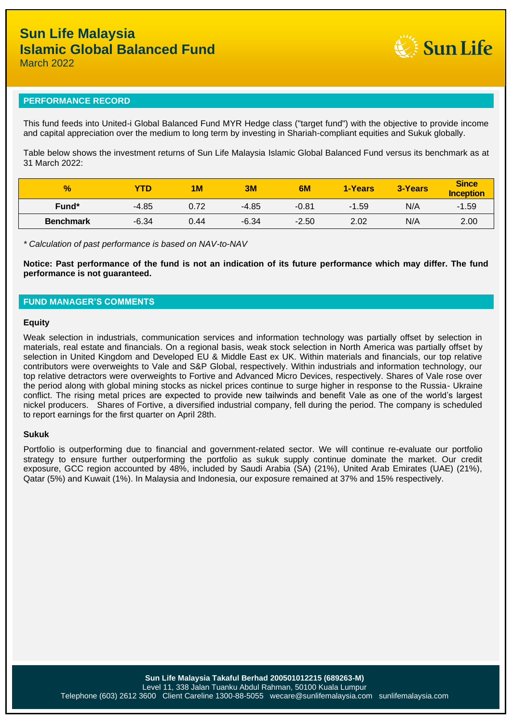

March 2022

### **PERFORMANCE RECORD**

This fund feeds into United-i Global Balanced Fund MYR Hedge class ("target fund") with the objective to provide income and capital appreciation over the medium to long term by investing in Shariah-compliant equities and Sukuk globally.

Table below shows the investment returns of Sun Life Malaysia Islamic Global Balanced Fund versus its benchmark as at 31 March 2022:

| $\frac{9}{6}$    | <b>YTD</b> | 1 <sub>M</sub> | 3M      | 6M      | 1-Years | 3-Years | <b>Since</b><br>Inception |
|------------------|------------|----------------|---------|---------|---------|---------|---------------------------|
| Fund*            | $-4.85$    | 0.72           | $-4.85$ | $-0.81$ | $-1.59$ | N/A     | $-1.59$                   |
| <b>Benchmark</b> | $-6.34$    | 0.44           | $-6.34$ | $-2.50$ | 2.02    | N/A     | 2.00                      |

*\* Calculation of past performance is based on NAV-to-NAV*

**Notice: Past performance of the fund is not an indication of its future performance which may differ. The fund performance is not guaranteed.**

### **FUND MANAGER'S COMMENTS**

#### **Equity**

Weak selection in industrials, communication services and information technology was partially offset by selection in materials, real estate and financials. On a regional basis, weak stock selection in North America was partially offset by selection in United Kingdom and Developed EU & Middle East ex UK. Within materials and financials, our top relative contributors were overweights to Vale and S&P Global, respectively. Within industrials and information technology, our top relative detractors were overweights to Fortive and Advanced Micro Devices, respectively. Shares of Vale rose over the period along with global mining stocks as nickel prices continue to surge higher in response to the Russia- Ukraine conflict. The rising metal prices are expected to provide new tailwinds and benefit Vale as one of the world's largest nickel producers. Shares of Fortive, a diversified industrial company, fell during the period. The company is scheduled to report earnings for the first quarter on April 28th.

#### **Sukuk**

Portfolio is outperforming due to financial and government-related sector. We will continue re-evaluate our portfolio strategy to ensure further outperforming the portfolio as sukuk supply continue dominate the market. Our credit exposure, GCC region accounted by 48%, included by Saudi Arabia (SA) (21%), United Arab Emirates (UAE) (21%), Qatar (5%) and Kuwait (1%). In Malaysia and Indonesia, our exposure remained at 37% and 15% respectively.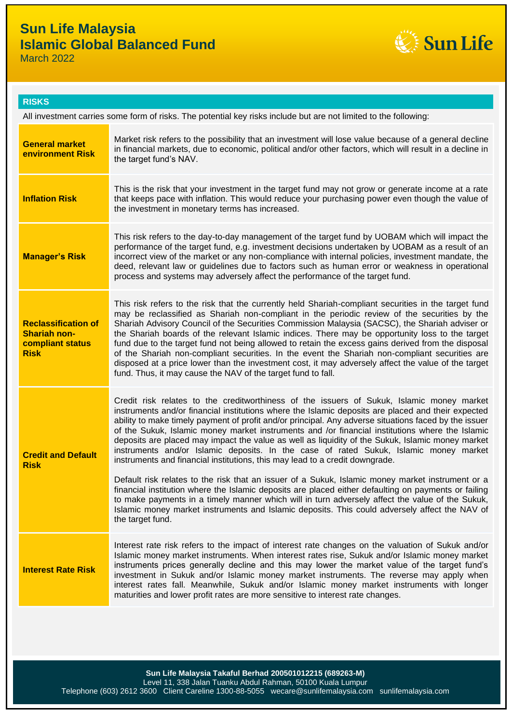

March 2022

| <b>RISK</b> | ж |
|-------------|---|
|             |   |
|             |   |

| All investment carries some form of risks. The potential key risks include but are not limited to the following: |                                                                                                                                                                                                                                                                                                                                                                                                                                                                                                                                                                                                                                                                                                                                                                                                                                                                                                                                                                                                                                                                                                                              |  |
|------------------------------------------------------------------------------------------------------------------|------------------------------------------------------------------------------------------------------------------------------------------------------------------------------------------------------------------------------------------------------------------------------------------------------------------------------------------------------------------------------------------------------------------------------------------------------------------------------------------------------------------------------------------------------------------------------------------------------------------------------------------------------------------------------------------------------------------------------------------------------------------------------------------------------------------------------------------------------------------------------------------------------------------------------------------------------------------------------------------------------------------------------------------------------------------------------------------------------------------------------|--|
| <b>General market</b><br>environment Risk                                                                        | Market risk refers to the possibility that an investment will lose value because of a general decline<br>in financial markets, due to economic, political and/or other factors, which will result in a decline in<br>the target fund's NAV.                                                                                                                                                                                                                                                                                                                                                                                                                                                                                                                                                                                                                                                                                                                                                                                                                                                                                  |  |
| <b>Inflation Risk</b>                                                                                            | This is the risk that your investment in the target fund may not grow or generate income at a rate<br>that keeps pace with inflation. This would reduce your purchasing power even though the value of<br>the investment in monetary terms has increased.                                                                                                                                                                                                                                                                                                                                                                                                                                                                                                                                                                                                                                                                                                                                                                                                                                                                    |  |
| <b>Manager's Risk</b>                                                                                            | This risk refers to the day-to-day management of the target fund by UOBAM which will impact the<br>performance of the target fund, e.g. investment decisions undertaken by UOBAM as a result of an<br>incorrect view of the market or any non-compliance with internal policies, investment mandate, the<br>deed, relevant law or guidelines due to factors such as human error or weakness in operational<br>process and systems may adversely affect the performance of the target fund.                                                                                                                                                                                                                                                                                                                                                                                                                                                                                                                                                                                                                                   |  |
| <b>Reclassification of</b><br><b>Shariah non-</b><br>compliant status<br><b>Risk</b>                             | This risk refers to the risk that the currently held Shariah-compliant securities in the target fund<br>may be reclassified as Shariah non-compliant in the periodic review of the securities by the<br>Shariah Advisory Council of the Securities Commission Malaysia (SACSC), the Shariah adviser or<br>the Shariah boards of the relevant Islamic indices. There may be opportunity loss to the target<br>fund due to the target fund not being allowed to retain the excess gains derived from the disposal<br>of the Shariah non-compliant securities. In the event the Shariah non-compliant securities are<br>disposed at a price lower than the investment cost, it may adversely affect the value of the target<br>fund. Thus, it may cause the NAV of the target fund to fall.                                                                                                                                                                                                                                                                                                                                     |  |
| <b>Credit and Default</b><br><b>Risk</b>                                                                         | Credit risk relates to the creditworthiness of the issuers of Sukuk, Islamic money market<br>instruments and/or financial institutions where the Islamic deposits are placed and their expected<br>ability to make timely payment of profit and/or principal. Any adverse situations faced by the issuer<br>of the Sukuk, Islamic money market instruments and /or financial institutions where the Islamic<br>deposits are placed may impact the value as well as liquidity of the Sukuk, Islamic money market<br>instruments and/or Islamic deposits. In the case of rated Sukuk, Islamic money market<br>instruments and financial institutions, this may lead to a credit downgrade.<br>Default risk relates to the risk that an issuer of a Sukuk, Islamic money market instrument or a<br>financial institution where the Islamic deposits are placed either defaulting on payments or failing<br>to make payments in a timely manner which will in turn adversely affect the value of the Sukuk,<br>Islamic money market instruments and Islamic deposits. This could adversely affect the NAV of<br>the target fund. |  |
| <b>Interest Rate Risk</b>                                                                                        | Interest rate risk refers to the impact of interest rate changes on the valuation of Sukuk and/or<br>Islamic money market instruments. When interest rates rise, Sukuk and/or Islamic money market<br>instruments prices generally decline and this may lower the market value of the target fund's<br>investment in Sukuk and/or Islamic money market instruments. The reverse may apply when<br>interest rates fall. Meanwhile, Sukuk and/or Islamic money market instruments with longer<br>maturities and lower profit rates are more sensitive to interest rate changes.                                                                                                                                                                                                                                                                                                                                                                                                                                                                                                                                                |  |